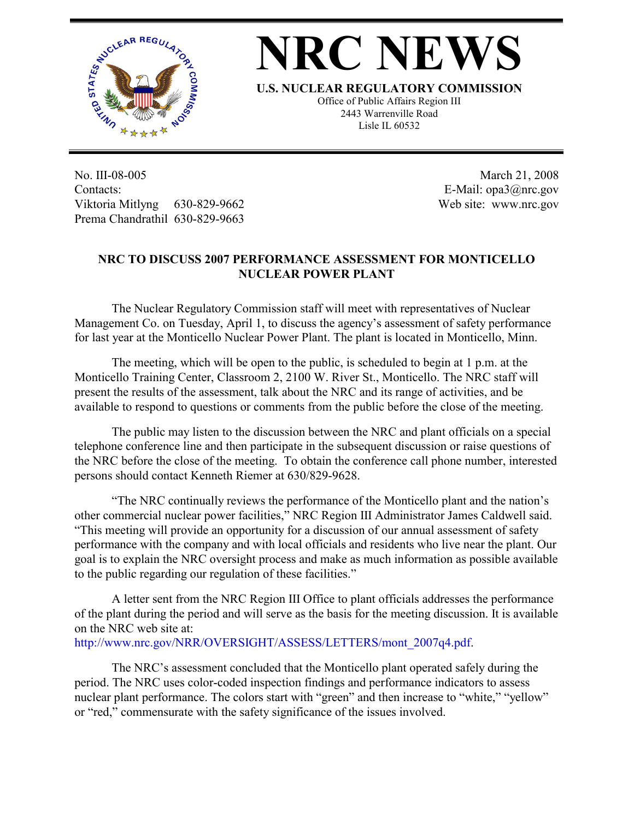

## **NRC NEW**

**U.S. NUCLEAR REGULATORY COMMISSION**

Office of Public Affairs Region III 2443 Warrenville Road Lisle IL 60532

No. III-08-005 Contacts: Viktoria Mitlyng 630-829-9662 Prema Chandrathil 630-829-9663

 March 21, 2008 E-Mail: opa3@nrc.gov Web site: www.nrc.gov

## **NRC TO DISCUSS 2007 PERFORMANCE ASSESSMENT FOR MONTICELLO NUCLEAR POWER PLANT**

The Nuclear Regulatory Commission staff will meet with representatives of Nuclear Management Co. on Tuesday, April 1, to discuss the agency's assessment of safety performance for last year at the Monticello Nuclear Power Plant. The plant is located in Monticello, Minn.

The meeting, which will be open to the public, is scheduled to begin at 1 p.m. at the Monticello Training Center, Classroom 2, 2100 W. River St., Monticello. The NRC staff will present the results of the assessment, talk about the NRC and its range of activities, and be available to respond to questions or comments from the public before the close of the meeting.

The public may listen to the discussion between the NRC and plant officials on a special telephone conference line and then participate in the subsequent discussion or raise questions of the NRC before the close of the meeting. To obtain the conference call phone number, interested persons should contact Kenneth Riemer at 630/829-9628.

"The NRC continually reviews the performance of the Monticello plant and the nation's other commercial nuclear power facilities," NRC Region III Administrator James Caldwell said. "This meeting will provide an opportunity for a discussion of our annual assessment of safety performance with the company and with local officials and residents who live near the plant. Our goal is to explain the NRC oversight process and make as much information as possible available to the public regarding our regulation of these facilities."

A letter sent from the NRC Region III Office to plant officials addresses the performance of the plant during the period and will serve as the basis for the meeting discussion. It is available on the NRC web site at:

http://www.nrc.gov/NRR/OVERSIGHT/ASSESS/LETTERS/mont\_2007q4.pdf.

The NRC's assessment concluded that the Monticello plant operated safely during the period. The NRC uses color-coded inspection findings and performance indicators to assess nuclear plant performance. The colors start with "green" and then increase to "white," "yellow" or "red," commensurate with the safety significance of the issues involved.